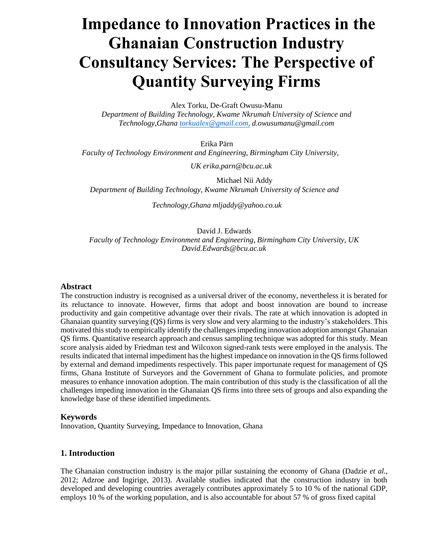# **Impedance to Innovation Practices in the Ghanaian Construction Industry Consulta[ncy Service](mailto:torkualex@gmail.com)s: The Perspective of Quantity Surveying Firms**

Alex Torku, De-Graft Owusu-Manu

*Department of Building Technology, Kwame Nkrumah University of Science and Technology,Ghana torkualex@gmail.com, d.owusumanu@gmail.com* 

Erika Pärn

*Faculty of Technology Environment and Engineering, Birmingham City University,* 

*UK erika.parn@bcu.ac.uk* 

Michael Nii Addy *Department of Building Technology, Kwame Nkrumah University of Science and* 

*Technology,Ghana mljaddy@yahoo.co.uk* 

David J. Edwards

*Faculty of Technology Environment and Engineering, Birmingham City University, UK David.Edwards@bcu.ac.uk* 

### **Abstract**

The construction industry is recognised as a universal driver of the economy, nevertheless it is berated for its reluctance to innovate. However, firms that adopt and boost innovation are bound to increase productivity and gain competitive advantage over their rivals. The rate at which innovation is adopted in Ghanaian quantity surveying (QS) firms is very slow and very alarming to the industry's stakeholders. This motivated this study to empirically identify the challenges impeding innovation adoption amongst Ghanaian QS firms. Quantitative research approach and census sampling technique was adopted for this study. Mean score analysis aided by Friedman test and Wilcoxon signed-rank tests were employed in the analysis. The results indicated that internal impediment has the highest impedance on innovation in the QS firms followed by external and demand impediments respectively. This paper importunate request for management of QS firms, Ghana Institute of Surveyors and the Government of Ghana to formulate policies, and promote measures to enhance innovation adoption. The main contribution of this study is the classification of all the challenges impeding innovation in the Ghanaian QS firms into three sets of groups and also expanding the knowledge base of these identified impediments.

#### **Keywords**

Innovation, Quantity Surveying, Impedance to Innovation, Ghana

#### **1. Introduction**

The Ghanaian construction industry is the major pillar sustaining the economy of Ghana (Dadzie *et al.*, 2012; Adzroe and Ingirige, 2013). Available studies indicated that the construction industry in both developed and developing countries averagely contributes approximately 5 to 10 % of the national GDP, employs 10 % of the working population, and is also accountable for about 57 % of gross fixed capital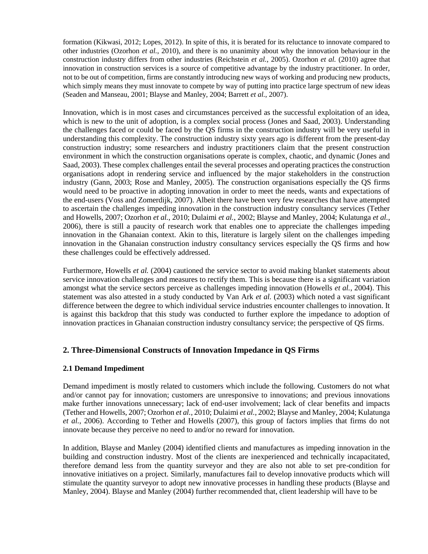formation (Kikwasi, 2012; Lopes, 2012). In spite of this, it is berated for its reluctance to innovate compared to other industries (Ozorhon *et al.*, 2010), and there is no unanimity about why the innovation behaviour in the construction industry differs from other industries (Reichstein *et al.*, 2005). Ozorhon *et al.* (2010) agree that innovation in construction services is a source of competitive advantage by the industry practitioner. In order, not to be out of competition, firms are constantly introducing new ways of working and producing new products, which simply means they must innovate to compete by way of putting into practice large spectrum of new ideas (Seaden and Manseau, 2001; Blayse and Manley, 2004; Barrett *et al.*, 2007).

Innovation, which is in most cases and circumstances perceived as the successful exploitation of an idea, which is new to the unit of adoption, is a complex social process (Jones and Saad, 2003). Understanding the challenges faced or could be faced by the QS firms in the construction industry will be very useful in understanding this complexity. The construction industry sixty years ago is different from the present-day construction industry; some researchers and industry practitioners claim that the present construction environment in which the construction organisations operate is complex, chaotic, and dynamic (Jones and Saad, 2003). These complex challenges entail the several processes and operating practices the construction organisations adopt in rendering service and influenced by the major stakeholders in the construction industry (Gann, 2003; Rose and Manley, 2005). The construction organisations especially the QS firms would need to be proactive in adopting innovation in order to meet the needs, wants and expectations of the end-users (Voss and Zomerdijk, 2007). Albeit there have been very few researches that have attempted to ascertain the challenges impeding innovation in the construction industry consultancy services (Tether and Howells, 2007; Ozorhon *et al.*, 2010; Dulaimi *et al.*, 2002; Blayse and Manley, 2004; Kulatunga *et al.*, 2006), there is still a paucity of research work that enables one to appreciate the challenges impeding innovation in the Ghanaian context. Akin to this, literature is largely silent on the challenges impeding innovation in the Ghanaian construction industry consultancy services especially the QS firms and how these challenges could be effectively addressed.

Furthermore, Howells *et al.* (2004) cautioned the service sector to avoid making blanket statements about service innovation challenges and measures to rectify them. This is because there is a significant variation amongst what the service sectors perceive as challenges impeding innovation (Howells *et al.*, 2004). This statement was also attested in a study conducted by Van Ark *et al.* (2003) which noted a vast significant difference between the degree to which individual service industries encounter challenges to innovation. It is against this backdrop that this study was conducted to further explore the impedance to adoption of innovation practices in Ghanaian construction industry consultancy service; the perspective of QS firms.

# **2. Three-Dimensional Constructs of Innovation Impedance in QS Firms**

## **2.1 Demand Impediment**

Demand impediment is mostly related to customers which include the following. Customers do not what and/or cannot pay for innovation; customers are unresponsive to innovations; and previous innovations make further innovations unnecessary; lack of end-user involvement; lack of clear benefits and impacts (Tether and Howells, 2007; Ozorhon *et al.*, 2010; Dulaimi *et al.*, 2002; Blayse and Manley, 2004; Kulatunga *et al.*, 2006). According to Tether and Howells (2007), this group of factors implies that firms do not innovate because they perceive no need to and/or no reward for innovation.

In addition, Blayse and Manley (2004) identified clients and manufactures as impeding innovation in the building and construction industry. Most of the clients are inexperienced and technically incapacitated, therefore demand less from the quantity surveyor and they are also not able to set pre-condition for innovative initiatives on a project. Similarly, manufactures fail to develop innovative products which will stimulate the quantity surveyor to adopt new innovative processes in handling these products (Blayse and Manley, 2004). Blayse and Manley (2004) further recommended that, client leadership will have to be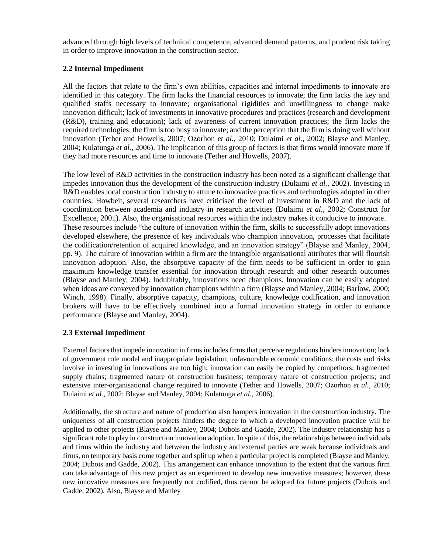advanced through high levels of technical competence, advanced demand patterns, and prudent risk taking in order to improve innovation in the construction sector.

## **2.2 Internal Impediment**

All the factors that relate to the firm's own abilities, capacities and internal impediments to innovate are identified in this category. The firm lacks the financial resources to innovate; the firm lacks the key and qualified staffs necessary to innovate; organisational rigidities and unwillingness to change make innovation difficult; lack of investments in innovative procedures and practices (research and development (R&D), training and education); lack of awareness of current innovation practices; the firm lacks the required technologies; the firm is too busy to innovate; and the perception that the firm is doing well without innovation (Tether and Howells, 2007; Ozorhon *et al.*, 2010; Dulaimi *et al.*, 2002; Blayse and Manley, 2004; Kulatunga *et al.*, 2006). The implication of this group of factors is that firms would innovate more if they had more resources and time to innovate (Tether and Howells, 2007).

The low level of R&D activities in the construction industry has been noted as a significant challenge that impedes innovation thus the development of the construction industry (Dulaimi *et al.*, 2002). Investing in R&D enables local construction industry to attune to innovative practices and technologies adopted in other countries. Howbeit, several researchers have criticised the level of investment in R&D and the lack of coordination between academia and industry in research activities (Dulaimi *et al.*, 2002; Construct for Excellence, 2001). Also, the organisational resources within the industry makes it conducive to innovate. These resources include "the culture of innovation within the firm, skills to successfully adopt innovations developed elsewhere, the presence of key individuals who champion innovation, processes that facilitate the codification/retention of acquired knowledge, and an innovation strategy" (Blayse and Manley, 2004, pp. 9). The culture of innovation within a firm are the intangible organisational attributes that will flourish innovation adoption. Also, the absorptive capacity of the firm needs to be sufficient in order to gain maximum knowledge transfer essential for innovation through research and other research outcomes (Blayse and Manley, 2004). Indubitably, innovations need champions. Innovation can be easily adopted when ideas are conveyed by innovation champions within a firm (Blayse and Manley, 2004; Barlow, 2000; Winch, 1998). Finally, absorptive capacity, champions, culture, knowledge codification, and innovation brokers will have to be effectively combined into a formal innovation strategy in order to enhance performance (Blayse and Manley, 2004).

# **2.3 External Impediment**

External factors that impede innovation in firms includes firms that perceive regulations hinders innovation; lack of government role model and inappropriate legislation; unfavourable economic conditions; the costs and risks involve in investing in innovations are too high; innovation can easily be copied by competitors; fragmented supply chains; fragmented nature of construction business; temporary nature of construction projects; and extensive inter-organisational change required to innovate (Tether and Howells, 2007; Ozorhon *et al.*, 2010; Dulaimi *et al.*, 2002; Blayse and Manley, 2004; Kulatunga *et al.*, 2006).

Additionally, the structure and nature of production also hampers innovation in the construction industry. The uniqueness of all construction projects hinders the degree to which a developed innovation practice will be applied to other projects (Blayse and Manley, 2004; Dubois and Gadde, 2002). The industry relationship has a significant role to play in construction innovation adoption. In spite of this, the relationships between individuals and firms within the industry and between the industry and external parties are weak because individuals and firms, on temporary basis come together and split up when a particular project is completed (Blayse and Manley, 2004; Dubois and Gadde, 2002). This arrangement can enhance innovation to the extent that the various firm can take advantage of this new project as an experiment to develop new innovative measures; however, these new innovative measures are frequently not codified, thus cannot be adopted for future projects (Dubois and Gadde, 2002). Also, Blayse and Manley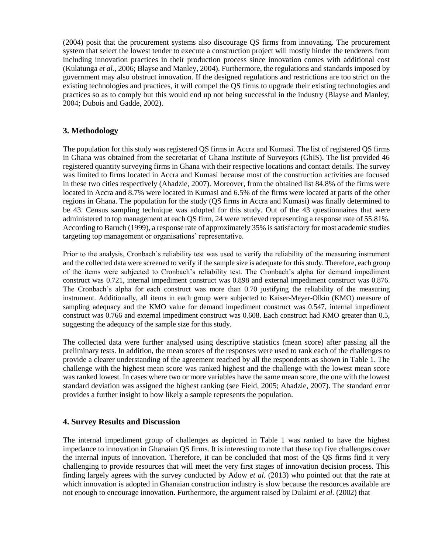(2004) posit that the procurement systems also discourage QS firms from innovating. The procurement system that select the lowest tender to execute a construction project will mostly hinder the tenderers from including innovation practices in their production process since innovation comes with additional cost (Kulatunga *et al.*, 2006; Blayse and Manley, 2004). Furthermore, the regulations and standards imposed by government may also obstruct innovation. If the designed regulations and restrictions are too strict on the existing technologies and practices, it will compel the QS firms to upgrade their existing technologies and practices so as to comply but this would end up not being successful in the industry (Blayse and Manley, 2004; Dubois and Gadde, 2002).

# **3. Methodology**

The population for this study was registered QS firms in Accra and Kumasi. The list of registered QS firms in Ghana was obtained from the secretariat of Ghana Institute of Surveyors (GhIS). The list provided 46 registered quantity surveying firms in Ghana with their respective locations and contact details. The survey was limited to firms located in Accra and Kumasi because most of the construction activities are focused in these two cities respectively (Ahadzie, 2007). Moreover, from the obtained list 84.8% of the firms were located in Accra and 8.7% were located in Kumasi and 6.5% of the firms were located at parts of the other regions in Ghana. The population for the study (QS firms in Accra and Kumasi) was finally determined to be 43. Census sampling technique was adopted for this study. Out of the 43 questionnaires that were administered to top management at each QS firm, 24 were retrieved representing a response rate of 55.81%. According to Baruch (1999), a response rate of approximately 35% is satisfactory for most academic studies targeting top management or organisations' representative.

Prior to the analysis, Cronbach's reliability test was used to verify the reliability of the measuring instrument and the collected data were screened to verify if the sample size is adequate for this study. Therefore, each group of the items were subjected to Cronbach's reliability test. The Cronbach's alpha for demand impediment construct was 0.721, internal impediment construct was 0.898 and external impediment construct was 0.876. The Cronbach's alpha for each construct was more than 0.70 justifying the reliability of the measuring instrument. Additionally, all items in each group were subjected to Kaiser-Meyer-Olkin (KMO) measure of sampling adequacy and the KMO value for demand impediment construct was 0.547, internal impediment construct was 0.766 and external impediment construct was 0.608. Each construct had KMO greater than 0.5, suggesting the adequacy of the sample size for this study.

The collected data were further analysed using descriptive statistics (mean score) after passing all the preliminary tests. In addition, the mean scores of the responses were used to rank each of the challenges to provide a clearer understanding of the agreement reached by all the respondents as shown in Table 1. The challenge with the highest mean score was ranked highest and the challenge with the lowest mean score was ranked lowest. In cases where two or more variables have the same mean score, the one with the lowest standard deviation was assigned the highest ranking (see Field, 2005; Ahadzie, 2007). The standard error provides a further insight to how likely a sample represents the population.

# **4. Survey Results and Discussion**

The internal impediment group of challenges as depicted in Table 1 was ranked to have the highest impedance to innovation in Ghanaian QS firms. It is interesting to note that these top five challenges cover the internal inputs of innovation. Therefore, it can be concluded that most of the QS firms find it very challenging to provide resources that will meet the very first stages of innovation decision process. This finding largely agrees with the survey conducted by Adow *et al.* (2013) who pointed out that the rate at which innovation is adopted in Ghanaian construction industry is slow because the resources available are not enough to encourage innovation. Furthermore, the argument raised by Dulaimi *et al.* (2002) that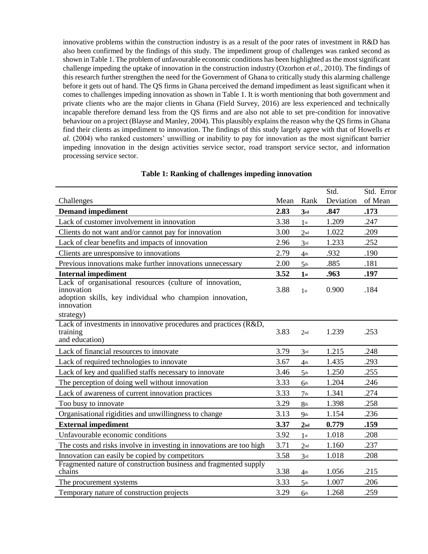innovative problems within the construction industry is as a result of the poor rates of investment in R&D has also been confirmed by the findings of this study. The impediment group of challenges was ranked second as shown in Table 1. The problem of unfavourable economic conditions has been highlighted as the most significant challenge impeding the uptake of innovation in the construction industry (Ozorhon *et al.*, 2010). The findings of this research further strengthen the need for the Government of Ghana to critically study this alarming challenge before it gets out of hand. The QS firms in Ghana perceived the demand impediment as least significant when it comes to challenges impeding innovation as shown in Table 1. It is worth mentioning that both government and private clients who are the major clients in Ghana (Field Survey, 2016) are less experienced and technically incapable therefore demand less from the QS firms and are also not able to set pre-condition for innovative behaviour on a project (Blayse and Manley, 2004). This plausibly explains the reason why the QS firms in Ghana find their clients as impediment to innovation. The findings of this study largely agree with that of Howells *et al.* (2004) who ranked customers' unwilling or inability to pay for innovation as the most significant barrier impeding innovation in the design activities service sector, road transport service sector, and information processing service sector.

|                                                                                                                                                  |      |                 | Std.      | Std. Error |
|--------------------------------------------------------------------------------------------------------------------------------------------------|------|-----------------|-----------|------------|
| Challenges                                                                                                                                       | Mean | Rank            | Deviation | of Mean    |
| <b>Demand impediment</b>                                                                                                                         | 2.83 | 3rd             | .847      | .173       |
| Lack of customer involvement in innovation                                                                                                       | 3.38 | 1 <sub>st</sub> | 1.209     | .247       |
| Clients do not want and/or cannot pay for innovation                                                                                             | 3.00 | 2 <sub>nd</sub> | 1.022     | .209       |
| Lack of clear benefits and impacts of innovation                                                                                                 | 2.96 | 3rd             | 1.233     | .252       |
| Clients are unresponsive to innovations                                                                                                          | 2.79 | 4 <sup>th</sup> | .932      | .190       |
| Previous innovations make further innovations unnecessary                                                                                        | 2.00 | 5 <sup>th</sup> | .885      | .181       |
| <b>Internal impediment</b>                                                                                                                       | 3.52 | 1st             | .963      | .197       |
| Lack of organisational resources (culture of innovation,<br>innovation<br>adoption skills, key individual who champion innovation,<br>innovation | 3.88 | 1 <sub>st</sub> | 0.900     | .184       |
| strategy)                                                                                                                                        |      |                 |           |            |
| Lack of investments in innovative procedures and practices (R&D,<br>training<br>and education)                                                   | 3.83 | 2 <sub>nd</sub> | 1.239     | .253       |
| Lack of financial resources to innovate                                                                                                          | 3.79 | 3rd             | 1.215     | .248       |
| Lack of required technologies to innovate                                                                                                        | 3.67 | 4 <sub>th</sub> | 1.435     | .293       |
| Lack of key and qualified staffs necessary to innovate                                                                                           | 3.46 | 5 <sup>th</sup> | 1.250     | .255       |
| The perception of doing well without innovation                                                                                                  | 3.33 | 6 <sup>th</sup> | 1.204     | .246       |
| Lack of awareness of current innovation practices                                                                                                | 3.33 | 7 <sub>th</sub> | 1.341     | .274       |
| Too busy to innovate                                                                                                                             | 3.29 | 8 <sup>th</sup> | 1.398     | .258       |
| Organisational rigidities and unwillingness to change                                                                                            | 3.13 | 9 <sub>th</sub> | 1.154     | .236       |
| <b>External impediment</b>                                                                                                                       | 3.37 | 2 <sub>nd</sub> | 0.779     | .159       |
| Unfavourable economic conditions                                                                                                                 | 3.92 | 1 <sub>st</sub> | 1.018     | .208       |
| The costs and risks involve in investing in innovations are too high                                                                             | 3.71 | 2 <sub>nd</sub> | 1.160     | .237       |
| Innovation can easily be copied by competitors                                                                                                   | 3.58 | 3rd             | 1.018     | .208       |
| Fragmented nature of construction business and fragmented supply<br>chains                                                                       | 3.38 | 4 <sup>th</sup> | 1.056     | .215       |
| The procurement systems                                                                                                                          | 3.33 | 5 <sup>th</sup> | 1.007     | .206       |
| Temporary nature of construction projects                                                                                                        | 3.29 | 6th             | 1.268     | .259       |

## **Table 1: Ranking of challenges impeding innovation**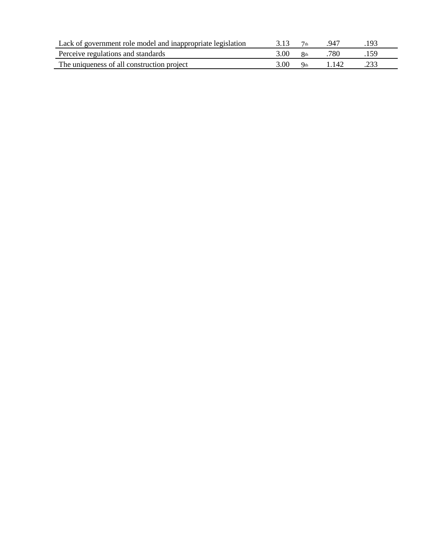| Lack of government role model and inappropriate legislation |      |                 | 947 |  |
|-------------------------------------------------------------|------|-----------------|-----|--|
| Perceive regulations and standards                          | 3.00 |                 | 780 |  |
| The uniqueness of all construction project                  | 3.00 | Q <sub>th</sub> | 142 |  |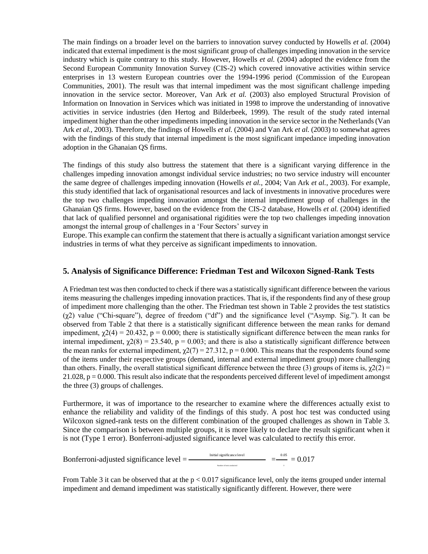The main findings on a broader level on the barriers to innovation survey conducted by Howells *et al.* (2004) indicated that external impediment is the most significant group of challenges impeding innovation in the service industry which is quite contrary to this study. However, Howells *et al.* (2004) adopted the evidence from the Second European Community Innovation Survey (CIS-2) which covered innovative activities within service enterprises in 13 western European countries over the 1994-1996 period (Commission of the European Communities, 2001). The result was that internal impediment was the most significant challenge impeding innovation in the service sector. Moreover, Van Ark *et al.* (2003) also employed Structural Provision of Information on Innovation in Services which was initiated in 1998 to improve the understanding of innovative activities in service industries (den Hertog and Bilderbeek, 1999). The result of the study rated internal impediment higher than the other impediments impeding innovation in the service sector in the Netherlands (Van Ark *et al.*, 2003). Therefore, the findings of Howells *et al.* (2004) and Van Ark *et al.* (2003) to somewhat agrees with the findings of this study that internal impediment is the most significant impedance impeding innovation adoption in the Ghanaian QS firms.

The findings of this study also buttress the statement that there is a significant varying difference in the challenges impeding innovation amongst individual service industries; no two service industry will encounter the same degree of challenges impeding innovation (Howells *et al.*, 2004; Van Ark *et al.*, 2003). For example, this study identified that lack of organisational resources and lack of investments in innovative procedures were the top two challenges impeding innovation amongst the internal impediment group of challenges in the Ghanaian QS firms. However, based on the evidence from the CIS-2 database, Howells *et al.* (2004) identified that lack of qualified personnel and organisational rigidities were the top two challenges impeding innovation amongst the internal group of challenges in a 'Four Sectors' survey in

Europe. This example can confirm the statement that there is actually a significant variation amongst service industries in terms of what they perceive as significant impediments to innovation.

## **5. Analysis of Significance Difference: Friedman Test and Wilcoxon Signed-Rank Tests**

A Friedman test was then conducted to check if there was a statistically significant difference between the various items measuring the challenges impeding innovation practices. That is, if the respondents find any of these group of impediment more challenging than the other. The Friedman test shown in Table 2 provides the test statistics (χ2) value ("Chi-square"), degree of freedom ("df") and the significance level ("Asymp. Sig."). It can be observed from Table 2 that there is a statistically significant difference between the mean ranks for demand impediment,  $\gamma$ 2(4) = 20.432, p = 0.000; there is statistically significant difference between the mean ranks for internal impediment,  $\chi$ 2(8) = 23.540, p = 0.003; and there is also a statistically significant difference between the mean ranks for external impediment,  $\chi$ 2(7) = 27.312, p = 0.000. This means that the respondents found some of the items under their respective groups (demand, internal and external impediment group) more challenging than others. Finally, the overall statistical significant difference between the three (3) groups of items is,  $\gamma(2) =$  $21.028$ ,  $p = 0.000$ . This result also indicate that the respondents perceived different level of impediment amongst the three (3) groups of challenges.

Furthermore, it was of importance to the researcher to examine where the differences actually exist to enhance the reliability and validity of the findings of this study. A post hoc test was conducted using Wilcoxon signed-rank tests on the different combination of the grouped challenges as shown in Table 3. Since the comparison is between multiple groups, it is more likely to declare the result significant when it is not (Type 1 error). Bonferroni-adjusted significance level was calculated to rectify this error.

Bonferroni-adjusted significance level  $=$   $\frac{\text{Initial significance level}}{\text{total distance level}} = 0.017$ 

From Table 3 it can be observed that at the  $p < 0.017$  significance level, only the items grouped under internal impediment and demand impediment was statistically significantly different. However, there were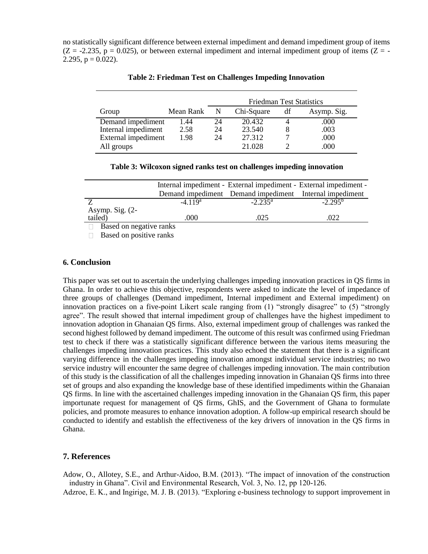no statistically significant difference between external impediment and demand impediment group of items  $(Z = -2.235, p = 0.025)$ , or between external impediment and internal impediment group of items  $(Z = -1.025, p = 0.025)$ 2.295,  $p = 0.022$ ).

|                     |           | <b>Friedman Test Statistics</b> |            |    |             |
|---------------------|-----------|---------------------------------|------------|----|-------------|
| Group               | Mean Rank | N                               | Chi-Square | df | Asymp. Sig. |
| Demand impediment   | 1.44      | 24                              | 20.432     |    | .000        |
| Internal impediment | 2.58      | 24                              | 23.540     | 8  | .003        |
| External impediment | 1.98      | 24                              | 27.312     |    | .000        |
| All groups          |           |                                 | 21.028     |    | .000        |

**Table 2: Friedman Test on Challenges Impeding Innovation**

|  |  | Table 3: Wilcoxon signed ranks test on challenges impeding innovation |  |  |
|--|--|-----------------------------------------------------------------------|--|--|
|  |  |                                                                       |  |  |

|                         |           | Internal impediment - External impediment - External impediment - |              |
|-------------------------|-----------|-------------------------------------------------------------------|--------------|
|                         |           | Demand impediment Demand impediment Internal impediment           |              |
|                         | $-4.119a$ | $-2.235$ <sup>a</sup>                                             | $-2.295^{b}$ |
| Asymp. Sig. $(2-$       |           |                                                                   |              |
| tailed)                 | .000      | .025                                                              | .022         |
| Based on negative ranks |           |                                                                   |              |

 $\Box$  Based on positive ranks

#### **6. Conclusion**

This paper was set out to ascertain the underlying challenges impeding innovation practices in QS firms in Ghana. In order to achieve this objective, respondents were asked to indicate the level of impedance of three groups of challenges (Demand impediment, Internal impediment and External impediment) on innovation practices on a five-point Likert scale ranging from (1) "strongly disagree" to (5) "strongly agree". The result showed that internal impediment group of challenges have the highest impediment to innovation adoption in Ghanaian QS firms. Also, external impediment group of challenges was ranked the second highest followed by demand impediment. The outcome of this result was confirmed using Friedman test to check if there was a statistically significant difference between the various items measuring the challenges impeding innovation practices. This study also echoed the statement that there is a significant varying difference in the challenges impeding innovation amongst individual service industries; no two service industry will encounter the same degree of challenges impeding innovation. The main contribution of this study is the classification of all the challenges impeding innovation in Ghanaian QS firms into three set of groups and also expanding the knowledge base of these identified impediments within the Ghanaian QS firms. In line with the ascertained challenges impeding innovation in the Ghanaian QS firm, this paper importunate request for management of QS firms, GhIS, and the Government of Ghana to formulate policies, and promote measures to enhance innovation adoption. A follow-up empirical research should be conducted to identify and establish the effectiveness of the key drivers of innovation in the QS firms in Ghana.

#### **7. References**

Adow, O., Allotey, S.E., and Arthur-Aidoo, B.M. (2013). "The impact of innovation of the construction industry in Ghana". Civil and Environmental Research, Vol. 3, No. 12, pp 120-126.

Adzroe, E. K., and Ingirige, M. J. B. (2013). "Exploring e-business technology to support improvement in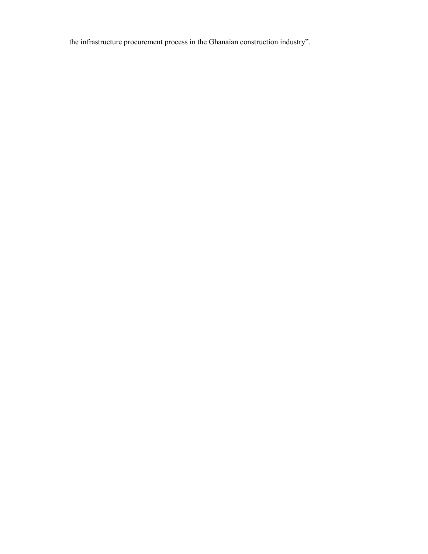the infrastructure procurement process in the Ghanaian construction industry".